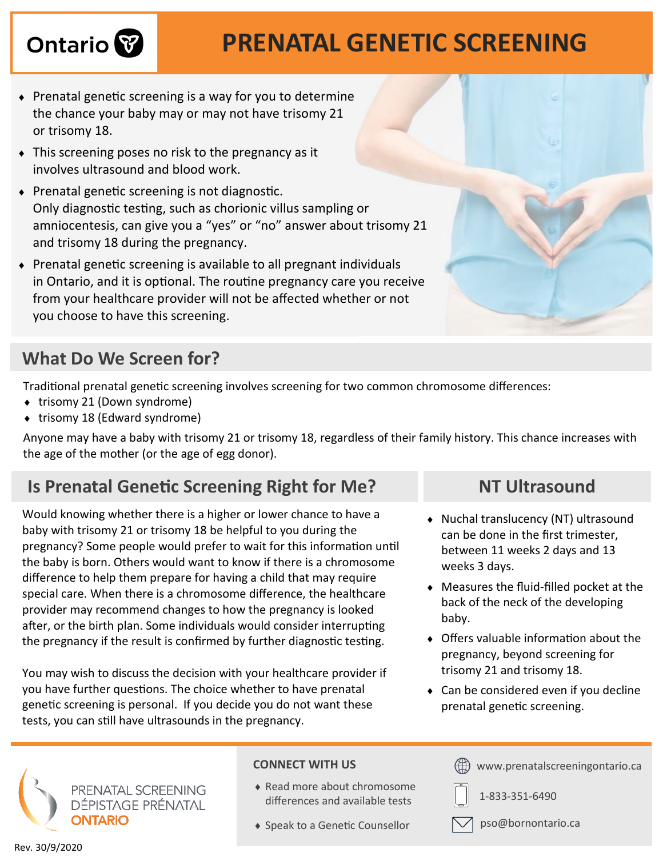# Ontario<sup>8</sup>

## **PRENATAL GENETIC SCREENING**

- $\bullet$  Prenatal genetic screening is a way for you to determine the chance your baby may or may not have trisomy 21 or trisomy 18.
- This screening poses no risk to the pregnancy as it involves ultrasound and blood work.
- Prenatal genetic screening is not diagnostic. Only diagnostic testing, such as chorionic villus sampling or amniocentesis, can give you a "yes" or "no" answer about trisomy 21 and trisomy 18 during the pregnancy.
- Prenatal genetic screening is available to all pregnant individuals in Ontario, and it is optional. The routine pregnancy care you receive from your healthcare provider will not be affected whether or not you choose to have this screening.

### **What Do We Screen for?**

Traditional prenatal genetic screening involves screening for two common chromosome differences:

- ◆ trisomy 21 (Down syndrome)
- $\bullet$  trisomy 18 (Edward syndrome)

Anyone may have a baby with trisomy 21 or trisomy 18, regardless of their family history. This chance increases with the age of the mother (or the age of egg donor).

### **Is Prenatal Genetic Screening Right for Me? NT Ultrasound**

Would knowing whether there is a higher or lower chance to have a baby with trisomy 21 or trisomy 18 be helpful to you during the pregnancy? Some people would prefer to wait for this information until the baby is born. Others would want to know if there is a chromosome difference to help them prepare for having a child that may require special care. When there is a chromosome difference, the healthcare provider may recommend changes to how the pregnancy is looked after, or the birth plan. Some individuals would consider interrupting the pregnancy if the result is confirmed by further diagnostic testing.

You may wish to discuss the decision with your healthcare provider if you have further questions. The choice whether to have prenatal genetic screening is personal. If you decide you do not want these tests, you can still have ultrasounds in the pregnancy.

- Nuchal translucency (NT) ultrasound can be done in the first trimester, between 11 weeks 2 days and 13 weeks 3 days.
- Measures the fluid-filled pocket at the back of the neck of the developing baby.
- Offers valuable information about the pregnancy, beyond screening for trisomy 21 and trisomy 18.
- Can be considered even if you decline prenatal genetic screening.



- Read more about chromosome differences and available tests
- ◆ Speak to a Genetic Counsellor





1-833-351-6490



pso@bornontario.ca